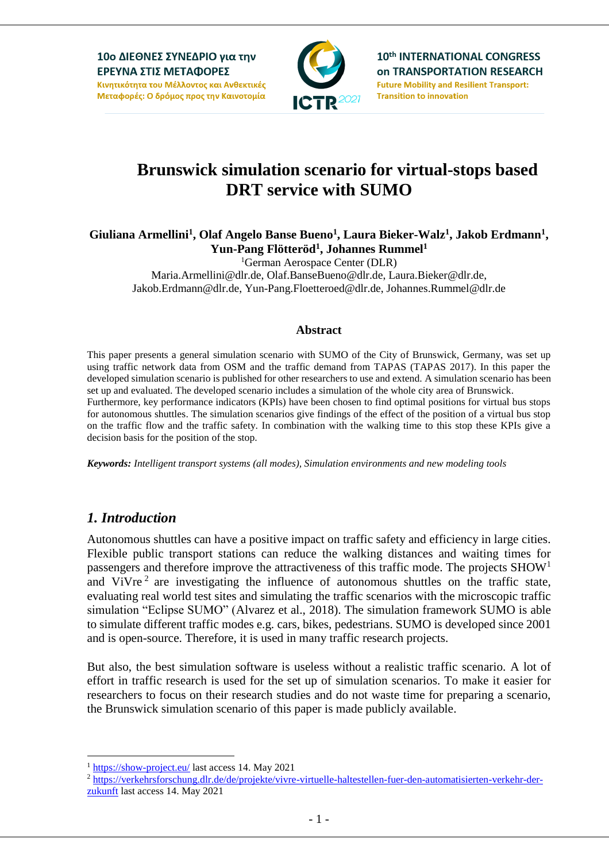

10th INTERNATIONAL CONGRESS **on TRANSPORTATION RESEARCH Future Mobility and Resilient Transport: Transition to innovation** 

# **Brunswick simulation scenario for virtual-stops based DRT service with SUMO**

**Giuliana Armellini<sup>1</sup> , Olaf Angelo Banse Bueno<sup>1</sup> , Laura Bieker-Walz<sup>1</sup> , Jakob Erdmann<sup>1</sup> , Yun-Pang Flötteröd<sup>1</sup> , Johannes Rummel<sup>1</sup>**

<sup>1</sup>German Aerospace Center (DLR)

Maria.Armellini@dlr.de, Olaf.BanseBueno@dlr.de, Laura.Bieker@dlr.de, Jakob.Erdmann@dlr.de, Yun-Pang.Floetteroed@dlr.de, Johannes.Rummel@dlr.de

#### **Abstract**

This paper presents a general simulation scenario with SUMO of the City of Brunswick, Germany, was set up using traffic network data from OSM and the traffic demand from TAPAS (TAPAS 2017). In this paper the developed simulation scenario is published for other researchers to use and extend. A simulation scenario has been set up and evaluated. The developed scenario includes a simulation of the whole city area of Brunswick. Furthermore, key performance indicators (KPIs) have been chosen to find optimal positions for virtual bus stops for autonomous shuttles. The simulation scenarios give findings of the effect of the position of a virtual bus stop on the traffic flow and the traffic safety. In combination with the walking time to this stop these KPIs give a decision basis for the position of the stop.

*Keywords: Intelligent transport systems (all modes), Simulation environments and new modeling tools*

### *1. Introduction*

1

Autonomous shuttles can have a positive impact on traffic safety and efficiency in large cities. Flexible public transport stations can reduce the walking distances and waiting times for passengers and therefore improve the attractiveness of this traffic mode. The projects  $SHOW<sup>1</sup>$ and ViVre<sup>2</sup> are investigating the influence of autonomous shuttles on the traffic state, evaluating real world test sites and simulating the traffic scenarios with the microscopic traffic simulation "Eclipse SUMO" (Alvarez et al., 2018). The simulation framework SUMO is able to simulate different traffic modes e.g. cars, bikes, pedestrians. SUMO is developed since 2001 and is open-source. Therefore, it is used in many traffic research projects.

But also, the best simulation software is useless without a realistic traffic scenario. A lot of effort in traffic research is used for the set up of simulation scenarios. To make it easier for researchers to focus on their research studies and do not waste time for preparing a scenario, the Brunswick simulation scenario of this paper is made publicly available.

<sup>1</sup> <https://show-project.eu/> last access 14. May 2021

<sup>2</sup> [https://verkehrsforschung.dlr.de/de/projekte/vivre-virtuelle-haltestellen-fuer-den-automatisierten-verkehr-der](https://verkehrsforschung.dlr.de/de/projekte/vivre-virtuelle-haltestellen-fuer-den-automatisierten-verkehr-der-zukunft)[zukunft](https://verkehrsforschung.dlr.de/de/projekte/vivre-virtuelle-haltestellen-fuer-den-automatisierten-verkehr-der-zukunft) last access 14. May 2021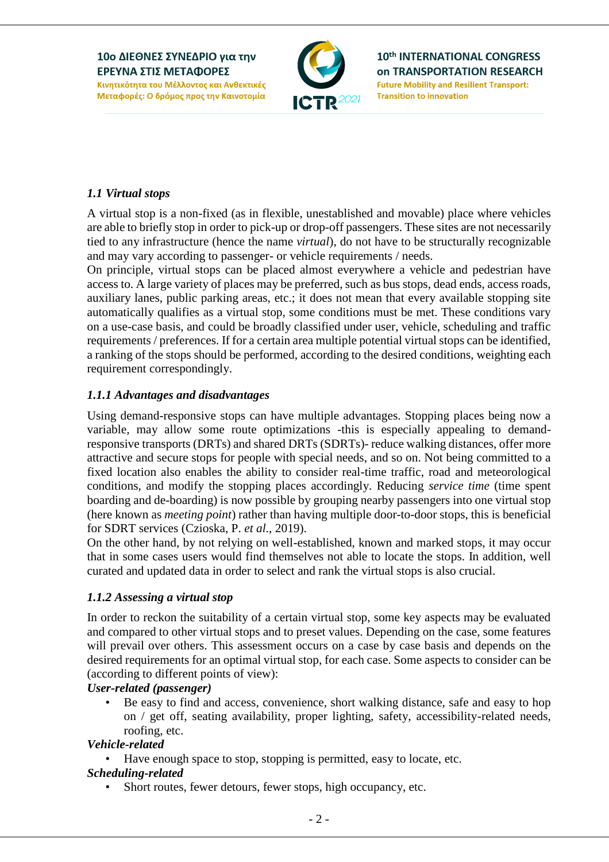

10th INTERNATIONAL CONGRESS **on TRANSPORTATION RESEARCH Future Mobility and Resilient Transport: Transition to innovation** 

### *1.1 Virtual stops*

A virtual stop is a non-fixed (as in flexible, unestablished and movable) place where vehicles are able to briefly stop in order to pick-up or drop-off passengers. These sites are not necessarily tied to any infrastructure (hence the name *virtual*), do not have to be structurally recognizable and may vary according to passenger- or vehicle requirements / needs.

On principle, virtual stops can be placed almost everywhere a vehicle and pedestrian have access to. A large variety of places may be preferred, such as bus stops, dead ends, access roads, auxiliary lanes, public parking areas, etc.; it does not mean that every available stopping site automatically qualifies as a virtual stop, some conditions must be met. These conditions vary on a use-case basis, and could be broadly classified under user, vehicle, scheduling and traffic requirements / preferences. If for a certain area multiple potential virtual stops can be identified, a ranking of the stops should be performed, according to the desired conditions, weighting each requirement correspondingly.

### *1.1.1 Advantages and disadvantages*

Using demand-responsive stops can have multiple advantages. Stopping places being now a variable, may allow some route optimizations -this is especially appealing to demandresponsive transports (DRTs) and shared DRTs (SDRTs)- reduce walking distances, offer more attractive and secure stops for people with special needs, and so on. Not being committed to a fixed location also enables the ability to consider real-time traffic, road and meteorological conditions, and modify the stopping places accordingly. Reducing *service time* (time spent boarding and de-boarding) is now possible by grouping nearby passengers into one virtual stop (here known as *meeting point*) rather than having multiple door-to-door stops, this is beneficial for SDRT services (Czioska, P. *et al.*, 2019).

On the other hand, by not relying on well-established, known and marked stops, it may occur that in some cases users would find themselves not able to locate the stops. In addition, well curated and updated data in order to select and rank the virtual stops is also crucial.

#### *1.1.2 Assessing a virtual stop*

In order to reckon the suitability of a certain virtual stop, some key aspects may be evaluated and compared to other virtual stops and to preset values. Depending on the case, some features will prevail over others. This assessment occurs on a case by case basis and depends on the desired requirements for an optimal virtual stop, for each case. Some aspects to consider can be (according to different points of view):

#### *User-related (passenger)*

Be easy to find and access, convenience, short walking distance, safe and easy to hop on / get off, seating availability, proper lighting, safety, accessibility-related needs, roofing, etc.

#### *Vehicle-related*

• Have enough space to stop, stopping is permitted, easy to locate, etc.

#### *Scheduling-related*

Short routes, fewer detours, fewer stops, high occupancy, etc.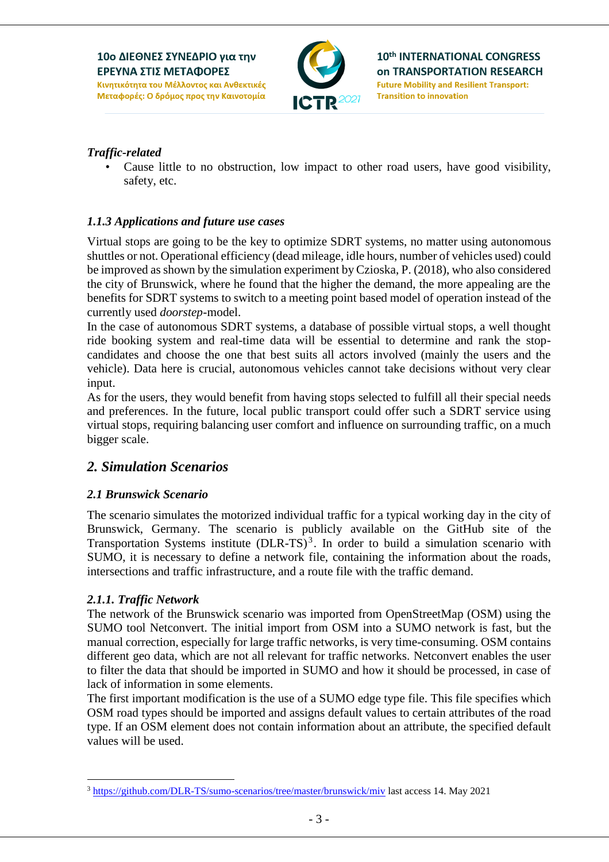

### *Traffic-related*

Cause little to no obstruction, low impact to other road users, have good visibility, safety, etc.

### *1.1.3 Applications and future use cases*

Virtual stops are going to be the key to optimize SDRT systems, no matter using autonomous shuttles or not. Operational efficiency (dead mileage, idle hours, number of vehicles used) could be improved as shown by the simulation experiment by Czioska, P. (2018), who also considered the city of Brunswick, where he found that the higher the demand, the more appealing are the benefits for SDRT systems to switch to a meeting point based model of operation instead of the currently used *doorstep*-model.

In the case of autonomous SDRT systems, a database of possible virtual stops, a well thought ride booking system and real-time data will be essential to determine and rank the stopcandidates and choose the one that best suits all actors involved (mainly the users and the vehicle). Data here is crucial, autonomous vehicles cannot take decisions without very clear input.

As for the users, they would benefit from having stops selected to fulfill all their special needs and preferences. In the future, local public transport could offer such a SDRT service using virtual stops, requiring balancing user comfort and influence on surrounding traffic, on a much bigger scale.

### *2. Simulation Scenarios*

### *2.1 Brunswick Scenario*

The scenario simulates the motorized individual traffic for a typical working day in the city of Brunswick, Germany. The scenario is publicly available on the GitHub site of the Transportation Systems institute  $(DLR-TS)^3$ . In order to build a simulation scenario with SUMO, it is necessary to define a network file, containing the information about the roads, intersections and traffic infrastructure, and a route file with the traffic demand.

#### *2.1.1. Traffic Network*

1

The network of the Brunswick scenario was imported from OpenStreetMap (OSM) using the SUMO tool Netconvert. The initial import from OSM into a SUMO network is fast, but the manual correction, especially for large traffic networks, is very time-consuming. OSM contains different geo data, which are not all relevant for traffic networks. Netconvert enables the user to filter the data that should be imported in SUMO and how it should be processed, in case of lack of information in some elements.

The first important modification is the use of a SUMO edge type file. This file specifies which OSM road types should be imported and assigns default values to certain attributes of the road type. If an OSM element does not contain information about an attribute, the specified default values will be used.

<sup>3</sup> <https://github.com/DLR-TS/sumo-scenarios/tree/master/brunswick/miv> last access 14. May 2021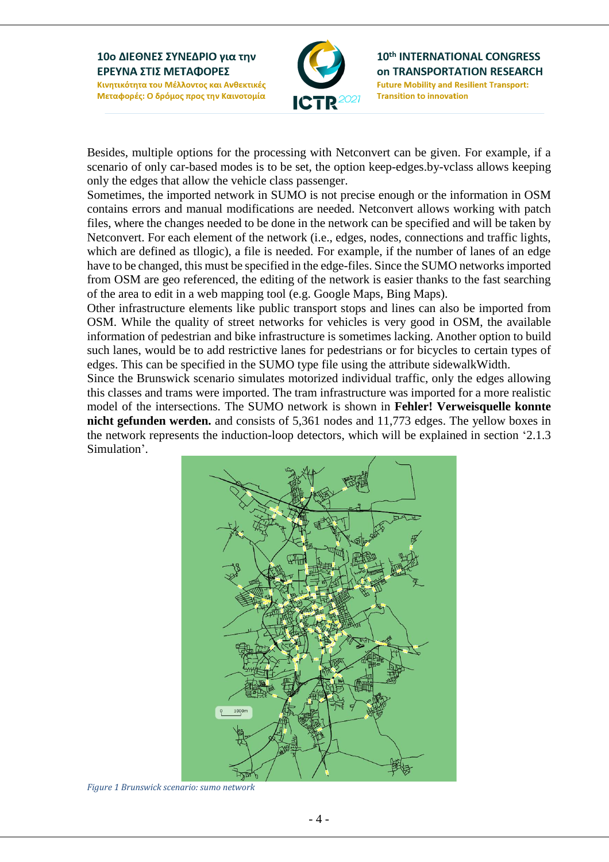

10th INTERNATIONAL CONGRESS **on TRANSPORTATION RESEARCH Future Mobility and Resilient Transport: Transition to innovation** 

Besides, multiple options for the processing with Netconvert can be given. For example, if a scenario of only car-based modes is to be set, the option keep-edges.by-vclass allows keeping only the edges that allow the vehicle class passenger.

Sometimes, the imported network in SUMO is not precise enough or the information in OSM contains errors and manual modifications are needed. Netconvert allows working with patch files, where the changes needed to be done in the network can be specified and will be taken by Netconvert. For each element of the network (i.e., edges, nodes, connections and traffic lights, which are defined as tllogic), a file is needed. For example, if the number of lanes of an edge have to be changed, this must be specified in the edge-files. Since the SUMO networksimported from OSM are geo referenced, the editing of the network is easier thanks to the fast searching of the area to edit in a web mapping tool (e.g. Google Maps, Bing Maps).

Other infrastructure elements like public transport stops and lines can also be imported from OSM. While the quality of street networks for vehicles is very good in OSM, the available information of pedestrian and bike infrastructure is sometimes lacking. Another option to build such lanes, would be to add restrictive lanes for pedestrians or for bicycles to certain types of edges. This can be specified in the SUMO type file using the attribute sidewalkWidth.

Since the Brunswick scenario simulates motorized individual traffic, only the edges allowing this classes and trams were imported. The tram infrastructure was imported for a more realistic model of the intersections. The SUMO network is shown in **Fehler! Verweisquelle konnte nicht gefunden werden.** and consists of 5,361 nodes and 11,773 edges. The yellow boxes in the network represents the induction-loop detectors, which will be explained in section '2.1.3 Simulation'.



*Figure 1 Brunswick scenario: sumo network*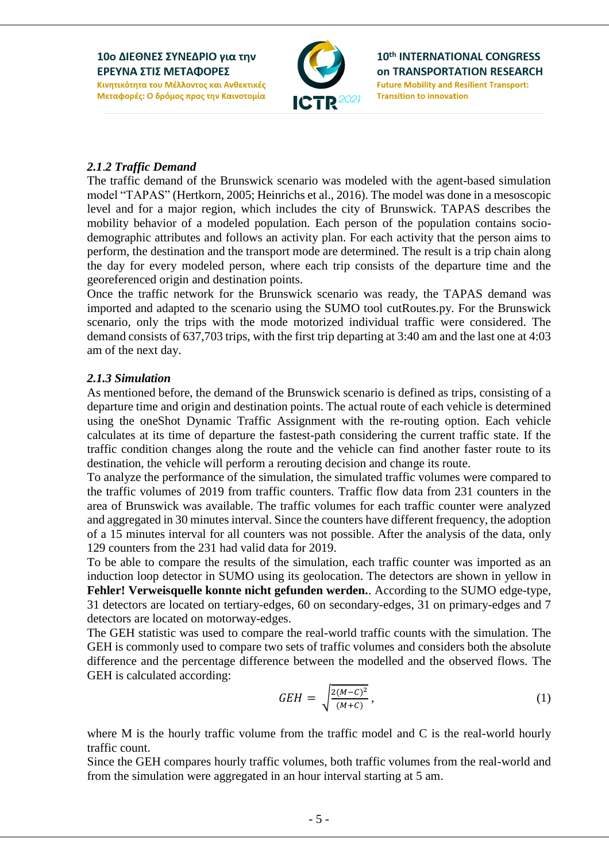

### *2.1*.*2 Traffic Demand*

The traffic demand of the Brunswick scenario was modeled with the agent-based simulation model "TAPAS" (Hertkorn, 2005; Heinrichs et al., 2016). The model was done in a mesoscopic level and for a major region, which includes the city of Brunswick. TAPAS describes the mobility behavior of a modeled population. Each person of the population contains sociodemographic attributes and follows an activity plan. For each activity that the person aims to perform, the destination and the transport mode are determined. The result is a trip chain along the day for every modeled person, where each trip consists of the departure time and the georeferenced origin and destination points.

Once the traffic network for the Brunswick scenario was ready, the TAPAS demand was imported and adapted to the scenario using the SUMO tool cutRoutes.py. For the Brunswick scenario, only the trips with the mode motorized individual traffic were considered. The demand consists of 637,703 trips, with the first trip departing at 3:40 am and the last one at 4:03 am of the next day.

#### *2.1.3 Simulation*

As mentioned before, the demand of the Brunswick scenario is defined as trips, consisting of a departure time and origin and destination points. The actual route of each vehicle is determined using the oneShot Dynamic Traffic Assignment with the re-routing option. Each vehicle calculates at its time of departure the fastest-path considering the current traffic state. If the traffic condition changes along the route and the vehicle can find another faster route to its destination, the vehicle will perform a rerouting decision and change its route.

To analyze the performance of the simulation, the simulated traffic volumes were compared to the traffic volumes of 2019 from traffic counters. Traffic flow data from 231 counters in the area of Brunswick was available. The traffic volumes for each traffic counter were analyzed and aggregated in 30 minutes interval. Since the counters have different frequency, the adoption of a 15 minutes interval for all counters was not possible. After the analysis of the data, only 129 counters from the 231 had valid data for 2019.

To be able to compare the results of the simulation, each traffic counter was imported as an induction loop detector in SUMO using its geolocation. The detectors are shown in yellow in **Fehler! Verweisquelle konnte nicht gefunden werden.**. According to the SUMO edge-type, 31 detectors are located on tertiary-edges, 60 on secondary-edges, 31 on primary-edges and 7 detectors are located on motorway-edges.

The GEH statistic was used to compare the real-world traffic counts with the simulation. The GEH is commonly used to compare two sets of traffic volumes and considers both the absolute difference and the percentage difference between the modelled and the observed flows. The GEH is calculated according:

$$
GEH = \sqrt{\frac{2(M-C)^2}{(M+C)}},\tag{1}
$$

where M is the hourly traffic volume from the traffic model and C is the real-world hourly traffic count.

Since the GEH compares hourly traffic volumes, both traffic volumes from the real-world and from the simulation were aggregated in an hour interval starting at 5 am.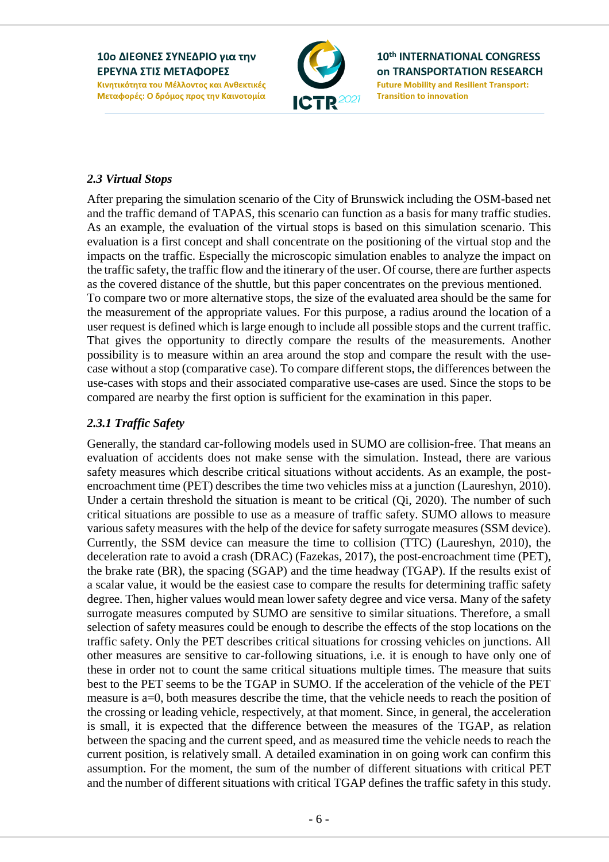

10th INTERNATIONAL CONGRESS **on TRANSPORTATION RESEARCH Future Mobility and Resilient Transport: Transition to innovation** 

### *2.3 Virtual Stops*

After preparing the simulation scenario of the City of Brunswick including the OSM-based net and the traffic demand of TAPAS, this scenario can function as a basis for many traffic studies. As an example, the evaluation of the virtual stops is based on this simulation scenario. This evaluation is a first concept and shall concentrate on the positioning of the virtual stop and the impacts on the traffic. Especially the microscopic simulation enables to analyze the impact on the traffic safety, the traffic flow and the itinerary of the user. Of course, there are further aspects as the covered distance of the shuttle, but this paper concentrates on the previous mentioned. To compare two or more alternative stops, the size of the evaluated area should be the same for the measurement of the appropriate values. For this purpose, a radius around the location of a user request is defined which is large enough to include all possible stops and the current traffic. That gives the opportunity to directly compare the results of the measurements. Another possibility is to measure within an area around the stop and compare the result with the usecase without a stop (comparative case). To compare different stops, the differences between the use-cases with stops and their associated comparative use-cases are used. Since the stops to be compared are nearby the first option is sufficient for the examination in this paper.

### *2.3.1 Traffic Safety*

Generally, the standard car-following models used in SUMO are collision-free. That means an evaluation of accidents does not make sense with the simulation. Instead, there are various safety measures which describe critical situations without accidents. As an example, the postencroachment time (PET) describes the time two vehicles miss at a junction (Laureshyn, 2010). Under a certain threshold the situation is meant to be critical (Qi, 2020). The number of such critical situations are possible to use as a measure of traffic safety. SUMO allows to measure various safety measures with the help of the device for safety surrogate measures (SSM device). Currently, the SSM device can measure the time to collision (TTC) (Laureshyn, 2010), the deceleration rate to avoid a crash (DRAC) (Fazekas, 2017), the post-encroachment time (PET), the brake rate (BR), the spacing (SGAP) and the time headway (TGAP). If the results exist of a scalar value, it would be the easiest case to compare the results for determining traffic safety degree. Then, higher values would mean lower safety degree and vice versa. Many of the safety surrogate measures computed by SUMO are sensitive to similar situations. Therefore, a small selection of safety measures could be enough to describe the effects of the stop locations on the traffic safety. Only the PET describes critical situations for crossing vehicles on junctions. All other measures are sensitive to car-following situations, i.e. it is enough to have only one of these in order not to count the same critical situations multiple times. The measure that suits best to the PET seems to be the TGAP in SUMO. If the acceleration of the vehicle of the PET measure is a=0, both measures describe the time, that the vehicle needs to reach the position of the crossing or leading vehicle, respectively, at that moment. Since, in general, the acceleration is small, it is expected that the difference between the measures of the TGAP, as relation between the spacing and the current speed, and as measured time the vehicle needs to reach the current position, is relatively small. A detailed examination in on going work can confirm this assumption. For the moment, the sum of the number of different situations with critical PET and the number of different situations with critical TGAP defines the traffic safety in this study.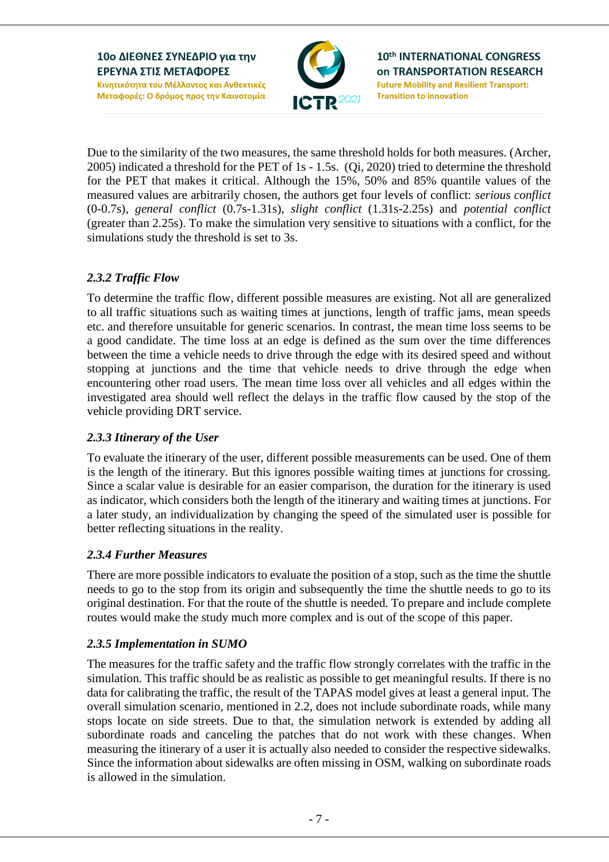

10th INTERNATIONAL CONGRESS **on TRANSPORTATION RESEARCH Future Mobility and Resilient Transport: Transition to innovation** 

Due to the similarity of the two measures, the same threshold holds for both measures. (Archer, 2005) indicated a threshold for the PET of 1s - 1.5s. (Qi, 2020) tried to determine the threshold for the PET that makes it critical. Although the 15%, 50% and 85% quantile values of the measured values are arbitrarily chosen, the authors get four levels of conflict: *serious conflict* (0-0.7s), *general conflict* (0.7s-1.31s), *slight conflict* (1.31s-2.25s) and *potential conflict* (greater than 2.25s). To make the simulation very sensitive to situations with a conflict, for the simulations study the threshold is set to 3s.

### *2.3.2 Traffic Flow*

To determine the traffic flow, different possible measures are existing. Not all are generalized to all traffic situations such as waiting times at junctions, length of traffic jams, mean speeds etc. and therefore unsuitable for generic scenarios. In contrast, the mean time loss seems to be a good candidate. The time loss at an edge is defined as the sum over the time differences between the time a vehicle needs to drive through the edge with its desired speed and without stopping at junctions and the time that vehicle needs to drive through the edge when encountering other road users. The mean time loss over all vehicles and all edges within the investigated area should well reflect the delays in the traffic flow caused by the stop of the vehicle providing DRT service.

### *2.3.3 Itinerary of the User*

To evaluate the itinerary of the user, different possible measurements can be used. One of them is the length of the itinerary. But this ignores possible waiting times at junctions for crossing. Since a scalar value is desirable for an easier comparison, the duration for the itinerary is used as indicator, which considers both the length of the itinerary and waiting times at junctions. For a later study, an individualization by changing the speed of the simulated user is possible for better reflecting situations in the reality.

### *2.3.4 Further Measures*

There are more possible indicators to evaluate the position of a stop, such as the time the shuttle needs to go to the stop from its origin and subsequently the time the shuttle needs to go to its original destination. For that the route of the shuttle is needed. To prepare and include complete routes would make the study much more complex and is out of the scope of this paper.

### *2.3.5 Implementation in SUMO*

The measures for the traffic safety and the traffic flow strongly correlates with the traffic in the simulation. This traffic should be as realistic as possible to get meaningful results. If there is no data for calibrating the traffic, the result of the TAPAS model gives at least a general input. The overall simulation scenario, mentioned in 2.2, does not include subordinate roads, while many stops locate on side streets. Due to that, the simulation network is extended by adding all subordinate roads and canceling the patches that do not work with these changes. When measuring the itinerary of a user it is actually also needed to consider the respective sidewalks. Since the information about sidewalks are often missing in OSM, walking on subordinate roads is allowed in the simulation.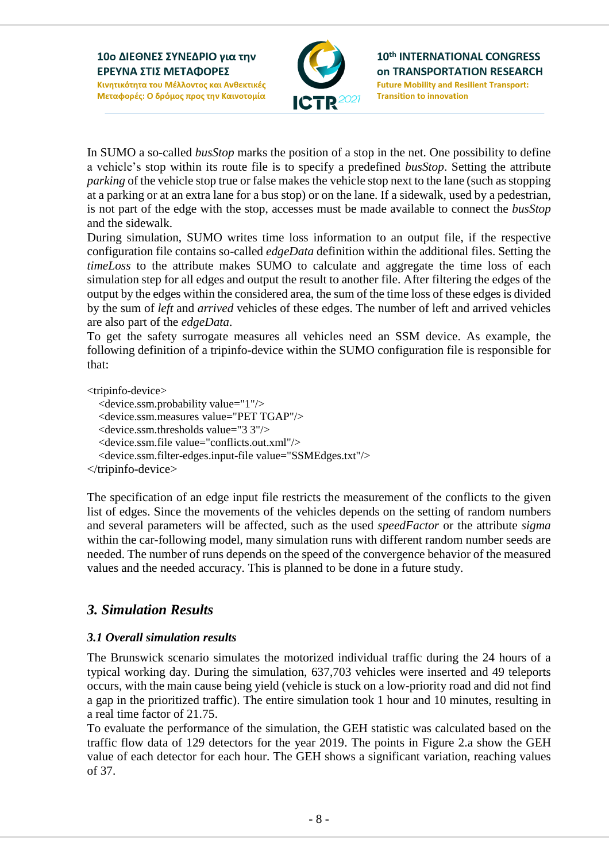

10th INTERNATIONAL CONGRESS **on TRANSPORTATION RESEARCH Future Mobility and Resilient Transport: Transition to innovation** 

In SUMO a so-called *busStop* marks the position of a stop in the net. One possibility to define a vehicle's stop within its route file is to specify a predefined *busStop*. Setting the attribute *parking* of the vehicle stop true or false makes the vehicle stop next to the lane (such as stopping at a parking or at an extra lane for a bus stop) or on the lane. If a sidewalk, used by a pedestrian, is not part of the edge with the stop, accesses must be made available to connect the *busStop* and the sidewalk.

During simulation, SUMO writes time loss information to an output file, if the respective configuration file contains so-called *edgeData* definition within the additional files. Setting the *timeLoss* to the attribute makes SUMO to calculate and aggregate the time loss of each simulation step for all edges and output the result to another file. After filtering the edges of the output by the edges within the considered area, the sum of the time loss of these edges is divided by the sum of *left* and *arrived* vehicles of these edges. The number of left and arrived vehicles are also part of the *edgeData*.

To get the safety surrogate measures all vehicles need an SSM device. As example, the following definition of a tripinfo-device within the SUMO configuration file is responsible for that:

<tripinfo-device>

```
 <device.ssm.probability value="1"/>
   <device.ssm.measures value="PET TGAP"/>
   <device.ssm.thresholds value="3 3"/>
   <device.ssm.file value="conflicts.out.xml"/>
   <device.ssm.filter-edges.input-file value="SSMEdges.txt"/>
</tripinfo-device>
```
The specification of an edge input file restricts the measurement of the conflicts to the given list of edges. Since the movements of the vehicles depends on the setting of random numbers and several parameters will be affected, such as the used *speedFactor* or the attribute *sigma* within the car-following model, many simulation runs with different random number seeds are needed. The number of runs depends on the speed of the convergence behavior of the measured values and the needed accuracy. This is planned to be done in a future study.

# *3. Simulation Results*

### *3.1 Overall simulation results*

The Brunswick scenario simulates the motorized individual traffic during the 24 hours of a typical working day. During the simulation, 637,703 vehicles were inserted and 49 teleports occurs, with the main cause being yield (vehicle is stuck on a low-priority road and did not find a gap in the prioritized traffic). The entire simulation took 1 hour and 10 minutes, resulting in a real time factor of 21.75.

To evaluate the performance of the simulation, the GEH statistic was calculated based on the traffic flow data of 129 detectors for the year 2019. The points in [Figure 2.](#page-8-0)a show the GEH value of each detector for each hour. The GEH shows a significant variation, reaching values of 37.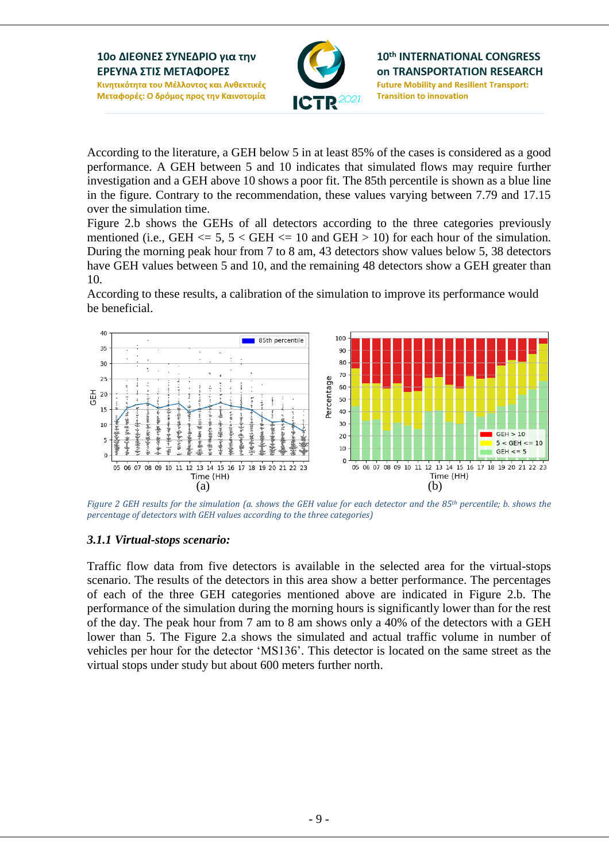

10th INTERNATIONAL CONGRESS **on TRANSPORTATION RESEARCH Future Mobility and Resilient Transport: Transition to innovation** 

According to the literature, a GEH below 5 in at least 85% of the cases is considered as a good performance. A GEH between 5 and 10 indicates that simulated flows may require further investigation and a GEH above 10 shows a poor fit. The 85th percentile is shown as a blue line in the figure. Contrary to the recommendation, these values varying between 7.79 and 17.15 over the simulation time.

[Figure 2.](#page-8-0)b shows the GEHs of all detectors according to the three categories previously mentioned (i.e., GEH  $\le$  5, 5  $\lt$  GEH  $\le$  10 and GEH  $>$  10) for each hour of the simulation. During the morning peak hour from 7 to 8 am, 43 detectors show values below 5, 38 detectors have GEH values between 5 and 10, and the remaining 48 detectors show a GEH greater than 10.

According to these results, a calibration of the simulation to improve its performance would be beneficial.



<span id="page-8-0"></span>*Figure 2 GEH results for the simulation (a. shows the GEH value for each detector and the 85th percentile; b. shows the percentage of detectors with GEH values according to the three categories)*

#### *3.1.1 Virtual-stops scenario:*

Traffic flow data from five detectors is available in the selected area for the virtual-stops scenario. The results of the detectors in this area show a better performance. The percentages of each of the three GEH categories mentioned above are indicated in [Figure 2.](#page-8-0)b. The performance of the simulation during the morning hours is significantly lower than for the rest of the day. The peak hour from 7 am to 8 am shows only a 40% of the detectors with a GEH lower than 5. The [Figure 2.](#page-8-0)a shows the simulated and actual traffic volume in number of vehicles per hour for the detector 'MS136'. This detector is located on the same street as the virtual stops under study but about 600 meters further north.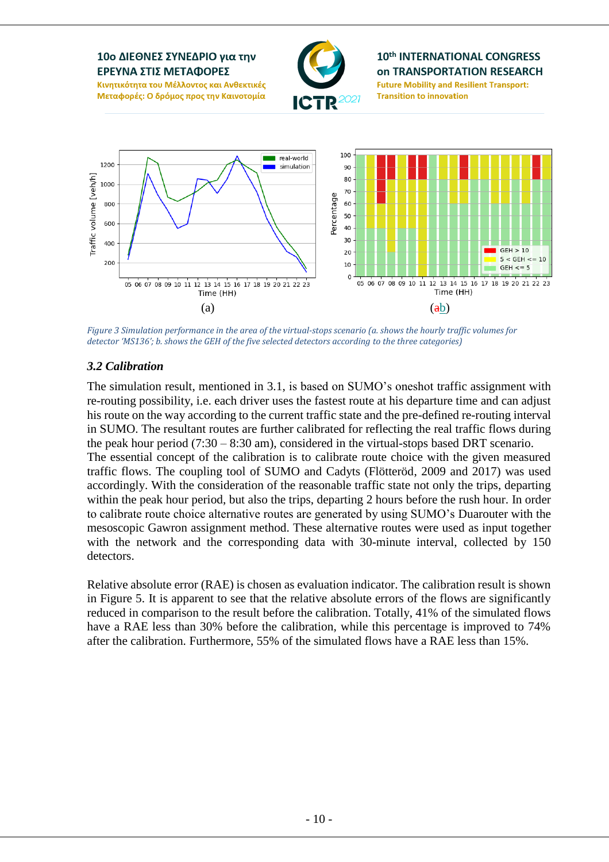

*Figure 3 Simulation performance in the area of the virtual-stops scenario (a. shows the hourly traffic volumes for detector 'MS136'; b. shows the GEH of the five selected detectors according to the three categories)*

#### *3.2 Calibration*

The simulation result, mentioned in 3.1, is based on SUMO's oneshot traffic assignment with re-routing possibility, i.e. each driver uses the fastest route at his departure time and can adjust his route on the way according to the current traffic state and the pre-defined re-routing interval in SUMO. The resultant routes are further calibrated for reflecting the real traffic flows during the peak hour period (7:30 – 8:30 am), considered in the virtual-stops based DRT scenario. The essential concept of the calibration is to calibrate route choice with the given measured traffic flows. The coupling tool of SUMO and Cadyts (Flötteröd, 2009 and 2017) was used accordingly. With the consideration of the reasonable traffic state not only the trips, departing within the peak hour period, but also the trips, departing 2 hours before the rush hour. In order to calibrate route choice alternative routes are generated by using SUMO's Duarouter with the mesoscopic Gawron assignment method. These alternative routes were used as input together with the network and the corresponding data with 30-minute interval, collected by 150 detectors.

Relative absolute error (RAE) is chosen as evaluation indicator. The calibration result is shown in Figure 5. It is apparent to see that the relative absolute errors of the flows are significantly reduced in comparison to the result before the calibration. Totally, 41% of the simulated flows have a RAE less than 30% before the calibration, while this percentage is improved to 74% after the calibration. Furthermore, 55% of the simulated flows have a RAE less than 15%.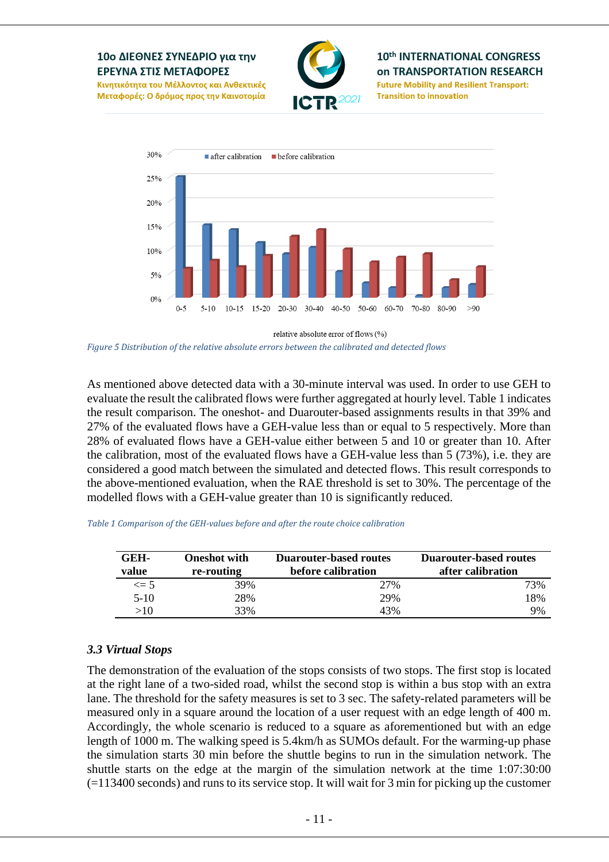#### 10ο ΔΙΕΘΝΕΣ ΣΥΝΕΔΡΙΟ για την ΕΡΕΥΝΑ ΣΤΙΣ ΜΕΤΑΦΟΡΕΣ Κινητικότητα του Μέλλοντος και Ανθεκτικές



#### 10th INTERNATIONAL CONGRESS **on TRANSPORTATION RESEARCH Future Mobility and Resilient Transport:**

**Transition to innovation** 

Μεταφορές: Ο δρόμος προς την Καινοτομία



relative absolute error of flows (%)

*Figure 5 Distribution of the relative absolute errors between the calibrated and detected flows* 

As mentioned above detected data with a 30-minute interval was used. In order to use GEH to evaluate the result the calibrated flows were further aggregated at hourly level. Table 1 indicates the result comparison. The oneshot- and Duarouter-based assignments results in that 39% and 27% of the evaluated flows have a GEH-value less than or equal to 5 respectively. More than 28% of evaluated flows have a GEH-value either between 5 and 10 or greater than 10. After the calibration, most of the evaluated flows have a GEH-value less than 5 (73%), i.e. they are considered a good match between the simulated and detected flows. This result corresponds to the above-mentioned evaluation, when the RAE threshold is set to 30%. The percentage of the modelled flows with a GEH-value greater than 10 is significantly reduced.

| GEH-<br>value | <b>Oneshot</b> with<br>re-routing | <b>Duarouter-based routes</b><br>before calibration | Duarouter-based routes<br>after calibration |
|---------------|-----------------------------------|-----------------------------------------------------|---------------------------------------------|
| $\leq$ 5      | 39%                               | 27%                                                 | 73%                                         |
| $5-10$        | 28%                               | 29%                                                 | 18%                                         |
| >10           | 33%                               | 43%                                                 | 9%                                          |

*Table 1 Comparison of the GEH-values before and after the route choice calibration*

#### *3.3 Virtual Stops*

The demonstration of the evaluation of the stops consists of two stops. The first stop is located at the right lane of a two-sided road, whilst the second stop is within a bus stop with an extra lane. The threshold for the safety measures is set to 3 sec. The safety-related parameters will be measured only in a square around the location of a user request with an edge length of 400 m. Accordingly, the whole scenario is reduced to a square as aforementioned but with an edge length of 1000 m. The walking speed is 5.4km/h as SUMOs default. For the warming-up phase the simulation starts 30 min before the shuttle begins to run in the simulation network. The shuttle starts on the edge at the margin of the simulation network at the time 1:07:30:00  $(=113400$  seconds) and runs to its service stop. It will wait for 3 min for picking up the customer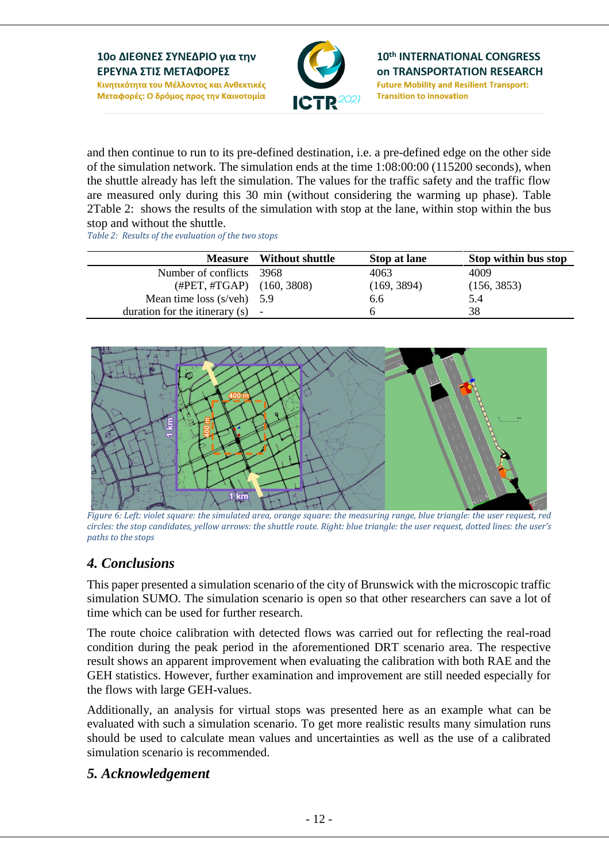

and then continue to run to its pre-defined destination, i.e. a pre-defined edge on the other side of the simulation network. The simulation ends at the time 1:08:00:00 (115200 seconds), when the shuttle already has left the simulation. The values for the traffic safety and the traffic flow are measured only during this 30 min (without considering the warming up phase). Table [2Table](#page-11-0) 2: shows the results of the simulation with stop at the lane, within stop within the bus stop and without the shuttle.

<span id="page-11-0"></span>*Table 2: Results of the evaluation of the two stops*

| <b>Measure</b>                                | <b>Without shuttle</b> | Stop at lane | Stop within bus stop |
|-----------------------------------------------|------------------------|--------------|----------------------|
| Number of conflicts                           | - 3968                 | 4063         | 4009                 |
| $(\text{\#PET}, \text{\#TGAP})$ $(160, 3808)$ |                        | (169, 3894)  | (156, 3853)          |
| Mean time loss $(s/veh)$ 5.9                  |                        | 6.6          | 5.4                  |
| duration for the itinerary $(s)$ -            |                        |              | 38                   |



*Figure 6: Left: violet square: the simulated area, orange square: the measuring range, blue triangle: the user request, red circles: the stop candidates, yellow arrows: the shuttle route. Right: blue triangle: the user request, dotted lines: the user's paths to the stops*

# *4. Conclusions*

This paper presented a simulation scenario of the city of Brunswick with the microscopic traffic simulation SUMO. The simulation scenario is open so that other researchers can save a lot of time which can be used for further research.

The route choice calibration with detected flows was carried out for reflecting the real-road condition during the peak period in the aforementioned DRT scenario area. The respective result shows an apparent improvement when evaluating the calibration with both RAE and the GEH statistics. However, further examination and improvement are still needed especially for the flows with large GEH-values.

Additionally, an analysis for virtual stops was presented here as an example what can be evaluated with such a simulation scenario. To get more realistic results many simulation runs should be used to calculate mean values and uncertainties as well as the use of a calibrated simulation scenario is recommended.

### *5. Acknowledgement*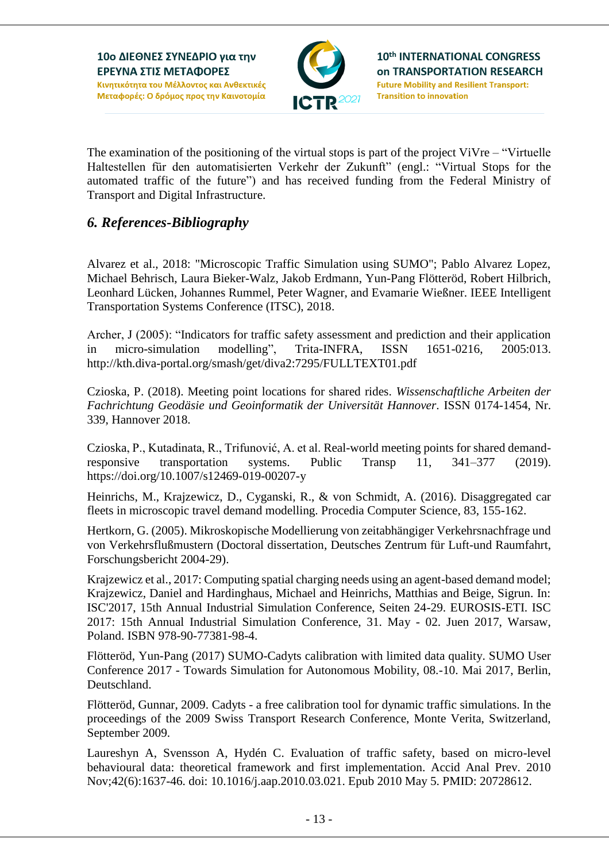

The examination of the positioning of the virtual stops is part of the project ViVre – "Virtuelle Haltestellen für den automatisierten Verkehr der Zukunft" (engl.: "Virtual Stops for the automated traffic of the future") and has received funding from the Federal Ministry of Transport and Digital Infrastructure.

### *6. References-Bibliography*

Alvarez et al., 2018: "Microscopic Traffic Simulation using SUMO"; Pablo Alvarez Lopez, Michael Behrisch, Laura Bieker-Walz, Jakob Erdmann, Yun-Pang Flötteröd, Robert Hilbrich, Leonhard Lücken, Johannes Rummel, Peter Wagner, and Evamarie Wießner. IEEE Intelligent Transportation Systems Conference (ITSC), 2018.

Archer, J (2005): "Indicators for traffic safety assessment and prediction and their application in micro-simulation modelling", Trita-INFRA, ISSN 1651-0216, 2005:013. http://kth.diva-portal.org/smash/get/diva2:7295/FULLTEXT01.pdf

Czioska, P. (2018). Meeting point locations for shared rides. *Wissenschaftliche Arbeiten der Fachrichtung Geodäsie und Geoinformatik der Universität Hannover*. ISSN 0174-1454, Nr. 339, Hannover 2018.

Czioska, P., Kutadinata, R., Trifunović, A. et al. Real-world meeting points for shared demandresponsive transportation systems. Public Transp 11, 341–377 (2019). https://doi.org/10.1007/s12469-019-00207-y

Heinrichs, M., Krajzewicz, D., Cyganski, R., & von Schmidt, A. (2016). Disaggregated car fleets in microscopic travel demand modelling. Procedia Computer Science, 83, 155-162.

Hertkorn, G. (2005). Mikroskopische Modellierung von zeitabhängiger Verkehrsnachfrage und von Verkehrsflußmustern (Doctoral dissertation, Deutsches Zentrum für Luft-und Raumfahrt, Forschungsbericht 2004-29).

Krajzewicz et al., 2017: Computing spatial charging needs using an agent-based demand model; Krajzewicz, Daniel and Hardinghaus, Michael and Heinrichs, Matthias and Beige, Sigrun. In: ISC'2017, 15th Annual Industrial Simulation Conference, Seiten 24-29. EUROSIS-ETI. ISC 2017: 15th Annual Industrial Simulation Conference, 31. May - 02. Juen 2017, Warsaw, Poland. ISBN 978-90-77381-98-4.

Flötteröd, Yun-Pang (2017) SUMO-Cadyts calibration with limited data quality. SUMO User Conference 2017 - Towards Simulation for Autonomous Mobility, 08.-10. Mai 2017, Berlin, Deutschland.

Flötteröd, Gunnar, 2009. Cadyts - a free calibration tool for dynamic traffic simulations. In the proceedings of the 2009 Swiss Transport Research Conference, Monte Verita, Switzerland, September 2009.

Laureshyn A, Svensson A, Hydén C. Evaluation of traffic safety, based on micro-level behavioural data: theoretical framework and first implementation. Accid Anal Prev. 2010 Nov;42(6):1637-46. doi: 10.1016/j.aap.2010.03.021. Epub 2010 May 5. PMID: 20728612.